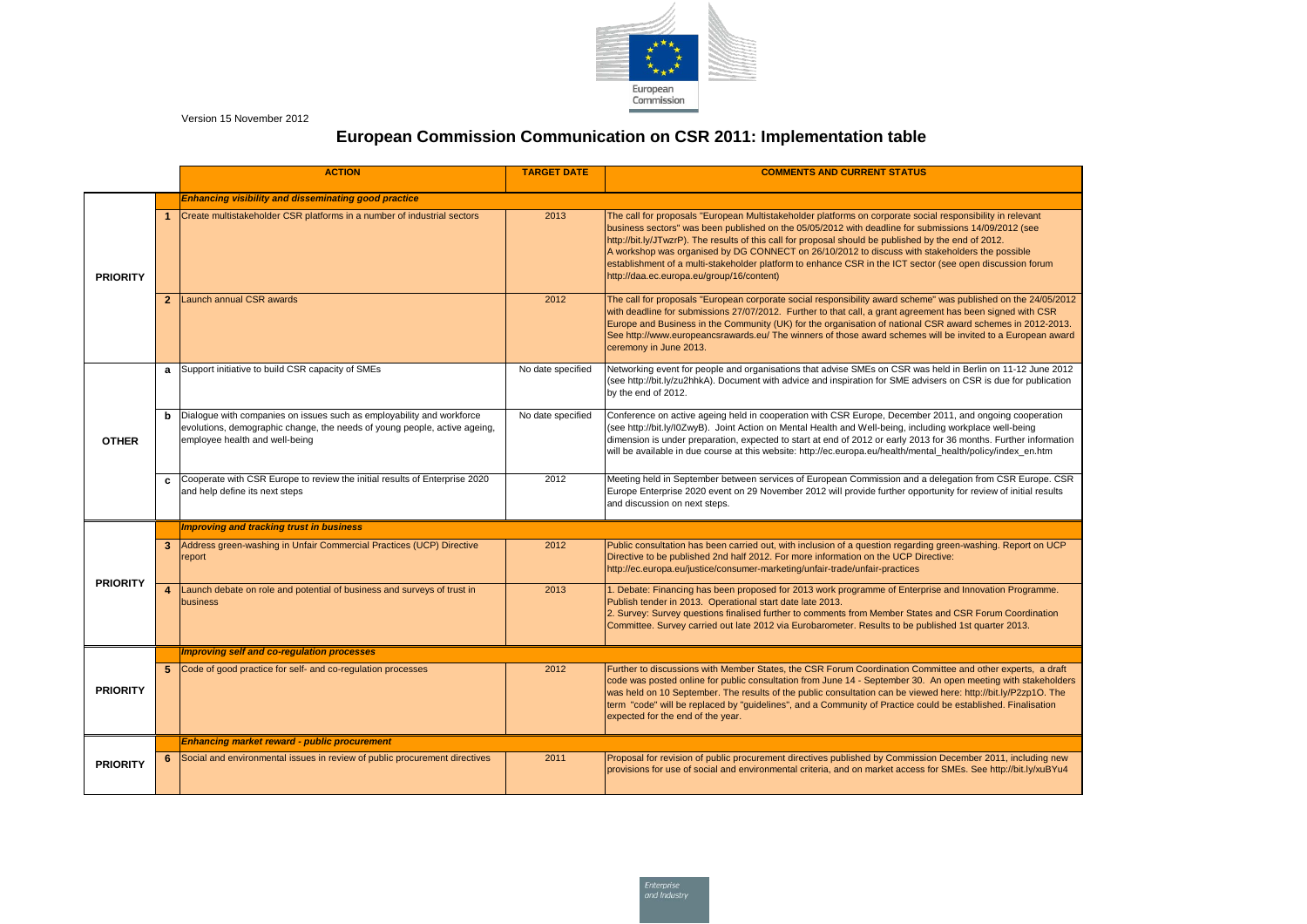

Version 15 November 2012

|                 |              | <b>ACTION</b>                                                                                                                                                                        | <b>TARGET DATE</b> | <b>COMMENTS AND CURRENT STATUS</b>                                                                                                                                                                                                                                                                                                                                                                                                                                                           |  |  |  |
|-----------------|--------------|--------------------------------------------------------------------------------------------------------------------------------------------------------------------------------------|--------------------|----------------------------------------------------------------------------------------------------------------------------------------------------------------------------------------------------------------------------------------------------------------------------------------------------------------------------------------------------------------------------------------------------------------------------------------------------------------------------------------------|--|--|--|
|                 |              | <b>Enhancing visibility and disseminating good practice</b>                                                                                                                          |                    |                                                                                                                                                                                                                                                                                                                                                                                                                                                                                              |  |  |  |
| <b>PRIORITY</b> |              | Create multistakeholder CSR platforms in a number of industrial sectors                                                                                                              | 2013               | The call for proposals "European Multistakeholder platforms on corporate social resp<br>business sectors" was been published on the 05/05/2012 with deadline for submission<br>http://bit.ly/JTwzrP). The results of this call for proposal should be published by the e<br>A workshop was organised by DG CONNECT on 26/10/2012 to discuss with stakeho<br>establishment of a multi-stakeholder platform to enhance CSR in the ICT sector (see<br>http://daa.ec.europa.eu/group/16/content) |  |  |  |
|                 | $\mathbf{2}$ | Launch annual CSR awards                                                                                                                                                             | 2012               | The call for proposals "European corporate social responsibility award scheme" was<br>with deadline for submissions 27/07/2012. Further to that call, a grant agreement ha<br>Europe and Business in the Community (UK) for the organisation of national CSR av<br>See http://www.europeancsrawards.eu/ The winners of those award schemes will be<br>ceremony in June 2013.                                                                                                                 |  |  |  |
| <b>OTHER</b>    | a            | Support initiative to build CSR capacity of SMEs                                                                                                                                     | No date specified  | Networking event for people and organisations that advise SMEs on CSR was held i<br>(see http://bit.ly/zu2hhkA). Document with advice and inspiration for SME advisers or<br>by the end of 2012.                                                                                                                                                                                                                                                                                             |  |  |  |
|                 | b            | Dialogue with companies on issues such as employability and workforce<br>evolutions, demographic change, the needs of young people, active ageing,<br>employee health and well-being | No date specified  | Conference on active ageing held in cooperation with CSR Europe, December 2011,<br>(see http://bit.ly/l0ZwyB). Joint Action on Mental Health and Well-being, including w<br>dimension is under preparation, expected to start at end of 2012 or early 2013 for 36<br>will be available in due course at this website: http://ec.europa.eu/health/mental_hea                                                                                                                                  |  |  |  |
|                 | C            | Cooperate with CSR Europe to review the initial results of Enterprise 2020<br>and help define its next steps                                                                         | 2012               | Meeting held in September between services of European Commission and a delega<br>Europe Enterprise 2020 event on 29 November 2012 will provide further opportunity<br>and discussion on next steps.                                                                                                                                                                                                                                                                                         |  |  |  |
|                 |              | <b>Improving and tracking trust in business</b>                                                                                                                                      |                    |                                                                                                                                                                                                                                                                                                                                                                                                                                                                                              |  |  |  |
| <b>PRIORITY</b> | 3            | Address green-washing in Unfair Commercial Practices (UCP) Directive<br>report                                                                                                       | 2012               | Public consultation has been carried out, with inclusion of a question regarding gree<br>Directive to be published 2nd half 2012. For more information on the UCP Directive:<br>http://ec.europa.eu/justice/consumer-marketing/unfair-trade/unfair-practices                                                                                                                                                                                                                                 |  |  |  |
|                 | 4            | Launch debate on role and potential of business and surveys of trust in<br>business                                                                                                  | 2013               | 1. Debate: Financing has been proposed for 2013 work programme of Enterprise and<br>Publish tender in 2013. Operational start date late 2013.<br>2. Survey: Survey questions finalised further to comments from Member States and (<br>Committee. Survey carried out late 2012 via Eurobarometer. Results to be published                                                                                                                                                                    |  |  |  |
|                 |              | <b>Improving self and co-regulation processes</b>                                                                                                                                    |                    |                                                                                                                                                                                                                                                                                                                                                                                                                                                                                              |  |  |  |
| <b>PRIORITY</b> | 5.           | Code of good practice for self- and co-regulation processes                                                                                                                          | 2012               | Further to discussions with Member States, the CSR Forum Coordination Committee<br>code was posted online for public consultation from June 14 - September 30. An ope<br>was held on 10 September. The results of the public consultation can be viewed here<br>term "code" will be replaced by "guidelines", and a Community of Practice could be<br>expected for the end of the year.                                                                                                      |  |  |  |
|                 |              | <b>Enhancing market reward - public procurement</b>                                                                                                                                  |                    |                                                                                                                                                                                                                                                                                                                                                                                                                                                                                              |  |  |  |
| <b>PRIORITY</b> |              | Social and environmental issues in review of public procurement directives                                                                                                           | 2011               | Proposal for revision of public procurement directives published by Commission Dec<br>provisions for use of social and environmental criteria, and on market access for SM                                                                                                                                                                                                                                                                                                                   |  |  |  |

**1** responsibility in relevant missions 14/09/2012 (see the end of 2012. akeholders the possible

festablishen of a multiment of a multiment containt

<sup>2</sup> was published on the 24/05/2012 ent has been signed with CSR SR award schemes in 2012-2013. will be invited to a European award

held in Berlin on 11-12 June 2012 sers on CSR is due for publication

 $\cdot$  2011, and ongoing cooperation ling workplace well-being for 36 months. Further information al\_health/policy/index\_en.htm

delegation from CSR Europe. CSR rtunity for review of initial results

green-washing. Report on UCP

se and Innovation Programme.

and CSR Forum Coordination lished 1st quarter 2013.

mittee and other experts, a draft An open meeting with stakeholders ed here: http://bit.ly/P2zp1O. The Id be established. Finalisation

**F** December 2011, including new r SMEs. See http://bit.ly/xuBYu4

## **European Commission Communication on CSR 2011: Implementation table**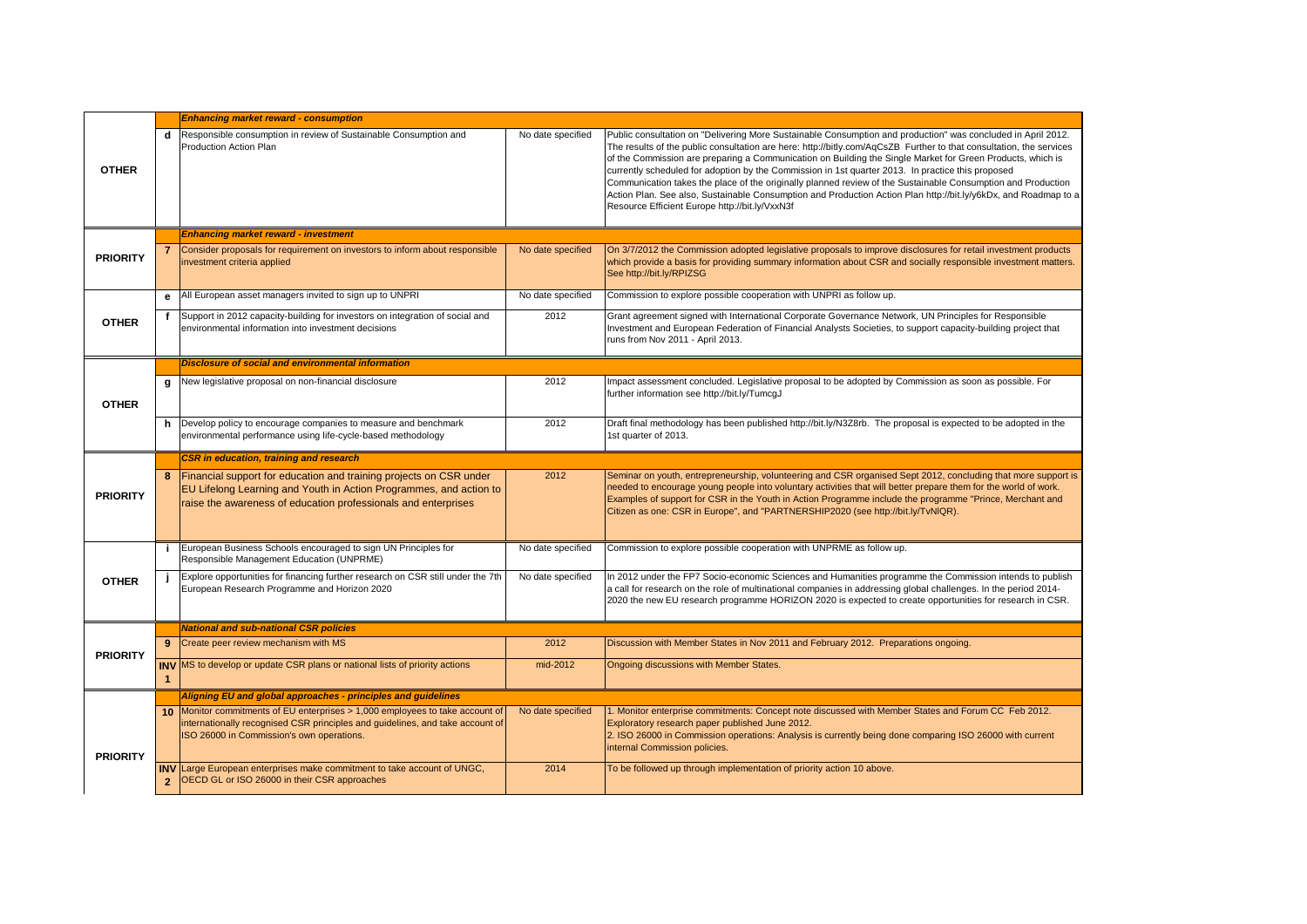|                 |   | <b>Enhancing market reward - consumption</b>                                                                                                                                                                                                                                           |                   |                                                                                                                                                                                                                                                                                                                                                                                                                                                                                                                                                                                                                    |  |  |  |
|-----------------|---|----------------------------------------------------------------------------------------------------------------------------------------------------------------------------------------------------------------------------------------------------------------------------------------|-------------------|--------------------------------------------------------------------------------------------------------------------------------------------------------------------------------------------------------------------------------------------------------------------------------------------------------------------------------------------------------------------------------------------------------------------------------------------------------------------------------------------------------------------------------------------------------------------------------------------------------------------|--|--|--|
| <b>OTHER</b>    | d | Responsible consumption in review of Sustainable Consumption and<br>Production Action Plan                                                                                                                                                                                             | No date specified | Public consultation on "Delivering More Sustainable Consumption and production" was c<br>The results of the public consultation are here: http://bitly.com/AqCsZB Further to that co<br>of the Commission are preparing a Communication on Building the Single Market for Gre<br>currently scheduled for adoption by the Commission in 1st quarter 2013. In practice this<br>Communication takes the place of the originally planned review of the Sustainable Consi<br>Action Plan. See also, Sustainable Consumption and Production Action Plan http://bit.ly/<br>Resource Efficient Europe http://bit.ly/VxxN3f |  |  |  |
|                 |   | <b>Enhancing market reward - investment</b>                                                                                                                                                                                                                                            |                   |                                                                                                                                                                                                                                                                                                                                                                                                                                                                                                                                                                                                                    |  |  |  |
| <b>PRIORITY</b> |   | 7 Consider proposals for requirement on investors to inform about responsible<br>investment criteria applied                                                                                                                                                                           | No date specified | On 3/7/2012 the Commission adopted legislative proposals to improve disclosures for re<br>which provide a basis for providing summary information about CSR and socially respon-<br>See http://bit.ly/RPIZSG                                                                                                                                                                                                                                                                                                                                                                                                       |  |  |  |
|                 |   | e   All European asset managers invited to sign up to UNPRI                                                                                                                                                                                                                            | No date specified | Commission to explore possible cooperation with UNPRI as follow up.                                                                                                                                                                                                                                                                                                                                                                                                                                                                                                                                                |  |  |  |
| <b>OTHER</b>    |   | Support in 2012 capacity-building for investors on integration of social and<br>environmental information into investment decisions                                                                                                                                                    | 2012              | Grant agreement signed with International Corporate Governance Network, UN Principle<br>Investment and European Federation of Financial Analysts Societies, to support capacity<br>runs from Nov 2011 - April 2013.                                                                                                                                                                                                                                                                                                                                                                                                |  |  |  |
|                 |   | <b>Disclosure of social and environmental information</b>                                                                                                                                                                                                                              |                   |                                                                                                                                                                                                                                                                                                                                                                                                                                                                                                                                                                                                                    |  |  |  |
| <b>OTHER</b>    | g | New legislative proposal on non-financial disclosure                                                                                                                                                                                                                                   | 2012              | Impact assessment concluded. Legislative proposal to be adopted by Commission as so<br>further information see http://bit.ly/TumcgJ                                                                                                                                                                                                                                                                                                                                                                                                                                                                                |  |  |  |
|                 |   | $h$ Develop policy to encourage companies to measure and benchmark<br>environmental performance using life-cycle-based methodology                                                                                                                                                     | 2012              | Draft final methodology has been published http://bit.ly/N3Z8rb. The proposal is expecte<br>1st quarter of 2013.                                                                                                                                                                                                                                                                                                                                                                                                                                                                                                   |  |  |  |
|                 |   | <b>CSR</b> in education, training and research                                                                                                                                                                                                                                         |                   |                                                                                                                                                                                                                                                                                                                                                                                                                                                                                                                                                                                                                    |  |  |  |
|                 | 8 | Financial support for education and training projects on CSR under<br><b>EU Lifelong Learning and Youth in Action Programmes, and action to</b><br>raise the awareness of education professionals and enterprises                                                                      | 2012              | Seminar on youth, entrepreneurship, volunteering and CSR organised Sept 2012, conclu<br>needed to encourage young people into voluntary activities that will better prepare them<br>Examples of support for CSR in the Youth in Action Programme include the programme "                                                                                                                                                                                                                                                                                                                                           |  |  |  |
| <b>PRIORITY</b> |   |                                                                                                                                                                                                                                                                                        |                   | Citizen as one: CSR in Europe", and "PARTNERSHIP2020 (see http://bit.ly/TvNIQR).                                                                                                                                                                                                                                                                                                                                                                                                                                                                                                                                   |  |  |  |
|                 |   | European Business Schools encouraged to sign UN Principles for<br>Responsible Management Education (UNPRME)                                                                                                                                                                            | No date specified | Commission to explore possible cooperation with UNPRME as follow up.                                                                                                                                                                                                                                                                                                                                                                                                                                                                                                                                               |  |  |  |
| <b>OTHER</b>    |   | Explore opportunities for financing further research on CSR still under the 7th<br>European Research Programme and Horizon 2020                                                                                                                                                        | No date specified | In 2012 under the FP7 Socio-economic Sciences and Humanities programme the Comm<br>a call for research on the role of multinational companies in addressing global challenges<br>2020 the new EU research programme HORIZON 2020 is expected to create opportuniti                                                                                                                                                                                                                                                                                                                                                 |  |  |  |
|                 |   | <b>National and sub-national CSR policies</b>                                                                                                                                                                                                                                          |                   |                                                                                                                                                                                                                                                                                                                                                                                                                                                                                                                                                                                                                    |  |  |  |
| <b>PRIORITY</b> |   | Create peer review mechanism with MS                                                                                                                                                                                                                                                   | 2012              | Discussion with Member States in Nov 2011 and February 2012. Preparations ongoing.                                                                                                                                                                                                                                                                                                                                                                                                                                                                                                                                 |  |  |  |
|                 |   | <b>INV</b> MS to develop or update CSR plans or national lists of priority actions                                                                                                                                                                                                     | mid-2012          | Ongoing discussions with Member States.                                                                                                                                                                                                                                                                                                                                                                                                                                                                                                                                                                            |  |  |  |
|                 |   | Aligning EU and global approaches - principles and guidelines                                                                                                                                                                                                                          |                   |                                                                                                                                                                                                                                                                                                                                                                                                                                                                                                                                                                                                                    |  |  |  |
| <b>PRIORITY</b> |   | 10 Monitor commitments of EU enterprises > 1,000 employees to take account of<br>internationally recognised CSR principles and guidelines, and take account of<br>ISO 26000 in Commission's own operations.<br>INV Large European enterprises make commitment to take account of UNGC, | No date specified | 1. Monitor enterprise commitments: Concept note discussed with Member States and Fo<br>Exploratory research paper published June 2012.<br>2. ISO 26000 in Commission operations: Analysis is currently being done comparing ISC<br>internal Commission policies.                                                                                                                                                                                                                                                                                                                                                   |  |  |  |

tion" was concluded in April 2012. er to that consultation, the services ket for Green Products, which is actice this proposed

able Consumption and Production http://bit.ly/y6kDx, and Roadmap to a

ures for retail investment products ally responsible investment matters.

V Principles for Responsible Int capacity-building project that

sion as soon as possible. For

is expected to be adopted in the

012, concluding that more support is pare them for the world of work. ogramme "Prince, Merchant and

the Commission intends to publish challenges. In the period 2014pportunities for research in CSR.

es and Forum CC Feb 2012.

2. Daring ISO 26000 with current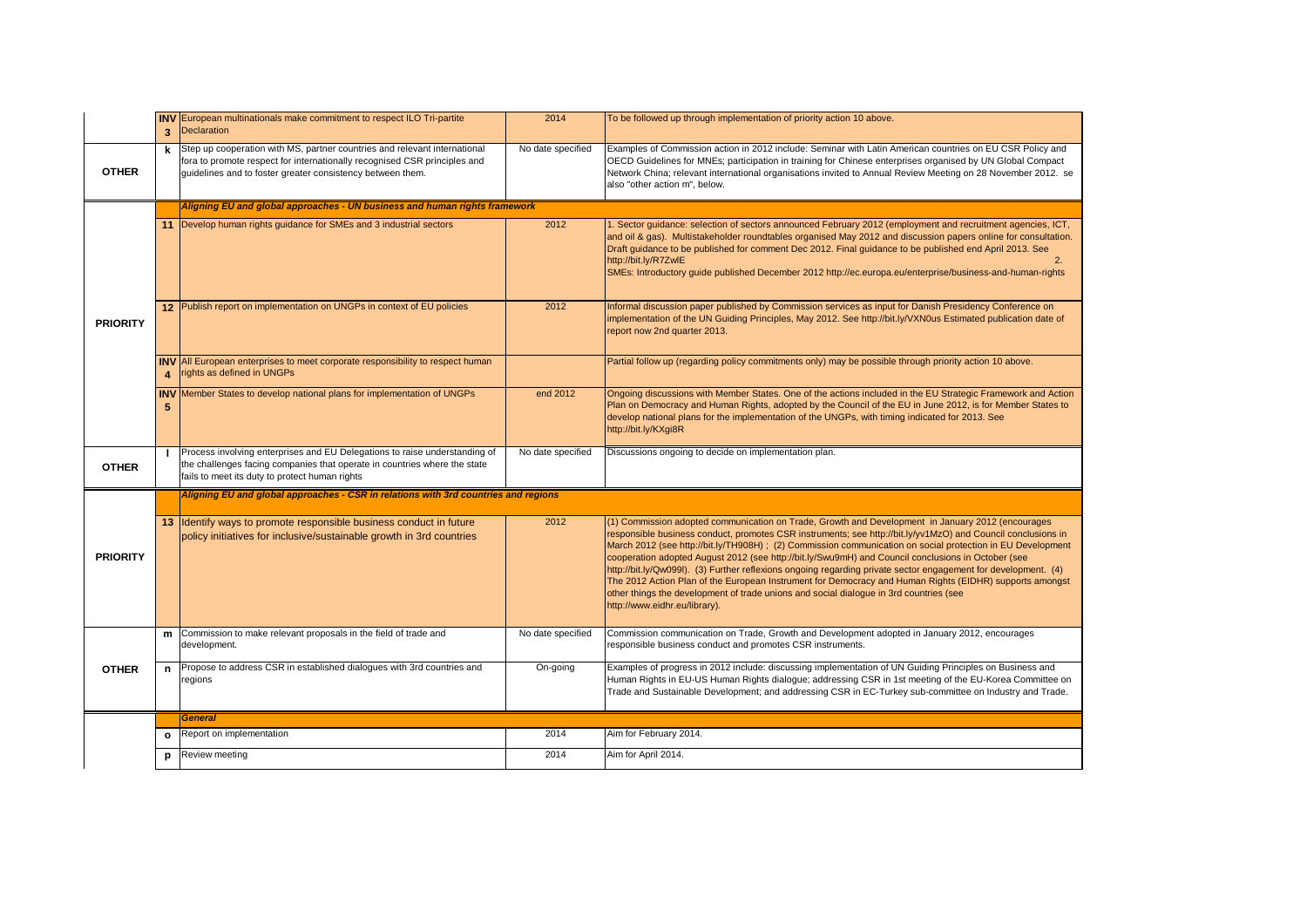|                 | 3 <sup>1</sup>         | INV European multinationals make commitment to respect ILO Tri-partite<br><b>Declaration</b>                                                                                                                         | 2014              | To be followed up through implementation of priority action 10 above.                                                                                                                                                                                                                                                                                                                                                                                                                                                                                                                                                                                                                                                                                                                          |  |  |
|-----------------|------------------------|----------------------------------------------------------------------------------------------------------------------------------------------------------------------------------------------------------------------|-------------------|------------------------------------------------------------------------------------------------------------------------------------------------------------------------------------------------------------------------------------------------------------------------------------------------------------------------------------------------------------------------------------------------------------------------------------------------------------------------------------------------------------------------------------------------------------------------------------------------------------------------------------------------------------------------------------------------------------------------------------------------------------------------------------------------|--|--|
| <b>OTHER</b>    | k                      | Step up cooperation with MS, partner countries and relevant international<br>fora to promote respect for internationally recognised CSR principles and<br>guidelines and to foster greater consistency between them. | No date specified | Examples of Commission action in 2012 include: Seminar with Latin American countries on EU CSR Policy and<br>OECD Guidelines for MNEs; participation in training for Chinese enterprises organised by UN Global Compact<br>Network China; relevant international organisations invited to Annual Review Meeting on 28 November 2012. se<br>also "other action m", below.                                                                                                                                                                                                                                                                                                                                                                                                                       |  |  |
|                 |                        | Aligning EU and global approaches - UN business and human rights framework                                                                                                                                           |                   |                                                                                                                                                                                                                                                                                                                                                                                                                                                                                                                                                                                                                                                                                                                                                                                                |  |  |
| <b>PRIORITY</b> |                        | Develop human rights guidance for SMEs and 3 industrial sectors                                                                                                                                                      | 2012              | . Sector guidance: selection of sectors announced February 2012 (employment and recruitment agencies, ICT,<br>and oil & gas). Multistakeholder roundtables organised May 2012 and discussion papers online for consultation.<br>Draft guidance to be published for comment Dec 2012. Final guidance to be published end April 2013. See<br>http://bit.ly/R7ZwlE<br>2.<br>SMEs: Introductory guide published December 2012 http://ec.europa.eu/enterprise/business-and-human-rights                                                                                                                                                                                                                                                                                                             |  |  |
|                 |                        | 12 Publish report on implementation on UNGPs in context of EU policies                                                                                                                                               | 2012              | Informal discussion paper published by Commission services as input for Danish Presidency Conference on<br>implementation of the UN Guiding Principles, May 2012. See http://bit.ly/VXN0us Estimated publication date of<br>report now 2nd quarter 2013.                                                                                                                                                                                                                                                                                                                                                                                                                                                                                                                                       |  |  |
|                 | $\boldsymbol{\Lambda}$ | <b>INV</b> All European enterprises to meet corporate responsibility to respect human<br>rights as defined in UNGPs                                                                                                  |                   | Partial follow up (regarding policy commitments only) may be possible through priority action 10 above.                                                                                                                                                                                                                                                                                                                                                                                                                                                                                                                                                                                                                                                                                        |  |  |
|                 | $5\phantom{.0}$        | <b>INV</b> Member States to develop national plans for implementation of UNGPs                                                                                                                                       | end 2012          | Ongoing discussions with Member States. One of the actions included in the EU Strategic Framework and Action<br>Plan on Democracy and Human Rights, adopted by the Council of the EU in June 2012, is for Member States to<br>develop national plans for the implementation of the UNGPs, with timing indicated for 2013. See<br>http://bit.ly/KXgi8R                                                                                                                                                                                                                                                                                                                                                                                                                                          |  |  |
| <b>OTHER</b>    |                        | Process involving enterprises and EU Delegations to raise understanding of<br>the challenges facing companies that operate in countries where the state<br>fails to meet its duty to protect human rights            | No date specified | Discussions ongoing to decide on implementation plan.                                                                                                                                                                                                                                                                                                                                                                                                                                                                                                                                                                                                                                                                                                                                          |  |  |
|                 |                        | Aligning EU and global approaches - CSR in relations with 3rd countries and regions                                                                                                                                  |                   |                                                                                                                                                                                                                                                                                                                                                                                                                                                                                                                                                                                                                                                                                                                                                                                                |  |  |
| <b>PRIORITY</b> | 13                     | Identify ways to promote responsible business conduct in future<br>policy initiatives for inclusive/sustainable growth in 3rd countries                                                                              | 2012              | (1) Commission adopted communication on Trade, Growth and Development in January 2012 (encourages<br>responsible business conduct, promotes CSR instruments; see http://bit.ly/yv1MzO) and Council conclusions in<br>March 2012 (see http://bit.ly/TH908H) ; (2) Commission communication on social protection in EU Development<br>cooperation adopted August 2012 (see http://bit.ly/Swu9mH) and Council conclusions in October (see<br>http://bit.ly/Qw099l). (3) Further reflexions ongoing regarding private sector engagement for development. (4)<br>The 2012 Action Plan of the European Instrument for Democracy and Human Rights (EIDHR) supports amongst<br>other things the development of trade unions and social dialogue in 3rd countries (see<br>http://www.eidhr.eu/library). |  |  |
| <b>OTHER</b>    | m                      | Commission to make relevant proposals in the field of trade and<br>development.                                                                                                                                      | No date specified | Commission communication on Trade, Growth and Development adopted in January 2012, encourages<br>responsible business conduct and promotes CSR instruments.                                                                                                                                                                                                                                                                                                                                                                                                                                                                                                                                                                                                                                    |  |  |
|                 | n                      | Propose to address CSR in established dialogues with 3rd countries and<br>regions                                                                                                                                    | On-going          | Examples of progress in 2012 include: discussing implementation of UN Guiding Principles on Business and<br>Human Rights in EU-US Human Rights dialogue; addressing CSR in 1st meeting of the EU-Korea Committee on<br>Trade and Sustainable Development; and addressing CSR in EC-Turkey sub-committee on Industry and Trade.                                                                                                                                                                                                                                                                                                                                                                                                                                                                 |  |  |
|                 |                        | General                                                                                                                                                                                                              |                   |                                                                                                                                                                                                                                                                                                                                                                                                                                                                                                                                                                                                                                                                                                                                                                                                |  |  |
|                 | $\mathbf{o}$           | Report on implementation                                                                                                                                                                                             | 2014              | Aim for February 2014.                                                                                                                                                                                                                                                                                                                                                                                                                                                                                                                                                                                                                                                                                                                                                                         |  |  |
|                 | p                      | Review meeting                                                                                                                                                                                                       | 2014              | Aim for April 2014.                                                                                                                                                                                                                                                                                                                                                                                                                                                                                                                                                                                                                                                                                                                                                                            |  |  |